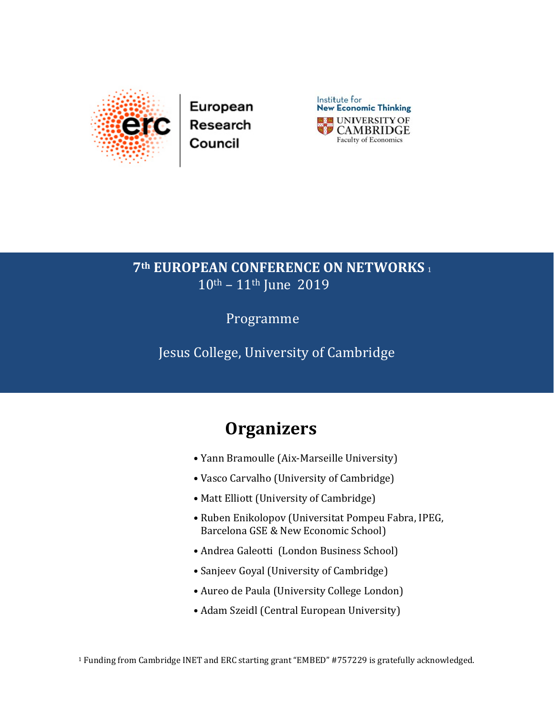



## **7th EUROPEAN CONFERENCE ON NETWORKS** <sup>1</sup> 10th – 11th June 2019

Programme

Jesus College, University of Cambridge

## **Organizers**

- Yann Bramoulle (Aix-Marseille University)
- Vasco Carvalho (University of Cambridge)
- Matt Elliott (University of Cambridge)
- Ruben Enikolopov (Universitat Pompeu Fabra, IPEG, Barcelona GSE & New Economic School)
- Andrea Galeotti (London Business School)
- Sanjeev Goyal (University of Cambridge)
- Aureo de Paula (University College London)
- Adam Szeidl (Central European University)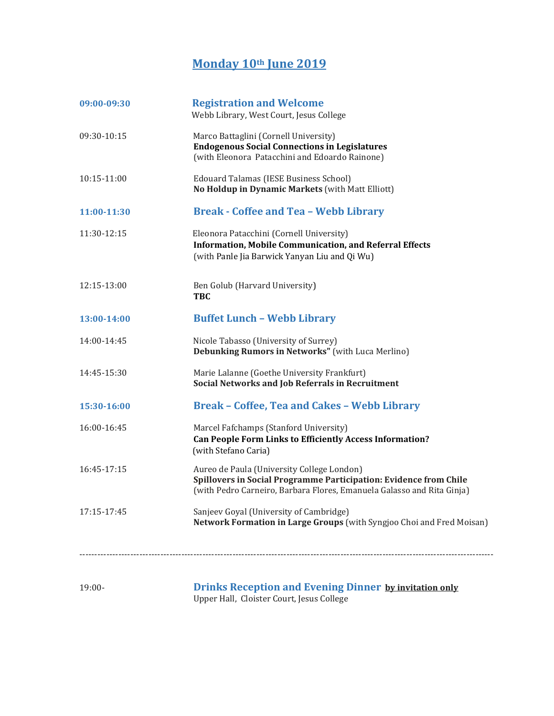## **Monday 10th June 2019**

| 09:00-09:30 | <b>Registration and Welcome</b><br>Webb Library, West Court, Jesus College                                                                                                                |
|-------------|-------------------------------------------------------------------------------------------------------------------------------------------------------------------------------------------|
| 09:30-10:15 | Marco Battaglini (Cornell University)<br><b>Endogenous Social Connections in Legislatures</b><br>(with Eleonora Patacchini and Edoardo Rainone)                                           |
| 10:15-11:00 | Edouard Talamas (IESE Business School)<br>No Holdup in Dynamic Markets (with Matt Elliott)                                                                                                |
| 11:00-11:30 | <b>Break - Coffee and Tea - Webb Library</b>                                                                                                                                              |
| 11:30-12:15 | Eleonora Patacchini (Cornell University)<br><b>Information, Mobile Communication, and Referral Effects</b><br>(with Panle Jia Barwick Yanyan Liu and Qi Wu)                               |
| 12:15-13:00 | Ben Golub (Harvard University)<br><b>TBC</b>                                                                                                                                              |
| 13:00-14:00 | <b>Buffet Lunch - Webb Library</b>                                                                                                                                                        |
| 14:00-14:45 | Nicole Tabasso (University of Surrey)<br>Debunking Rumors in Networks" (with Luca Merlino)                                                                                                |
| 14:45-15:30 | Marie Lalanne (Goethe University Frankfurt)<br>Social Networks and Job Referrals in Recruitment                                                                                           |
| 15:30-16:00 | <b>Break - Coffee, Tea and Cakes - Webb Library</b>                                                                                                                                       |
| 16:00-16:45 | Marcel Fafchamps (Stanford University)<br><b>Can People Form Links to Efficiently Access Information?</b><br>(with Stefano Caria)                                                         |
| 16:45-17:15 | Aureo de Paula (University College London)<br>Spillovers in Social Programme Participation: Evidence from Chile<br>(with Pedro Carneiro, Barbara Flores, Emanuela Galasso and Rita Ginja) |
| 17:15-17:45 | Sanjeev Goyal (University of Cambridge)<br>Network Formation in Large Groups (with Syngjoo Choi and Fred Moisan)                                                                          |
|             |                                                                                                                                                                                           |
| $19:00-$    | <b>Drinks Reception and Evening Dinner by invitation only</b>                                                                                                                             |

Upper Hall, Cloister Court, Jesus College